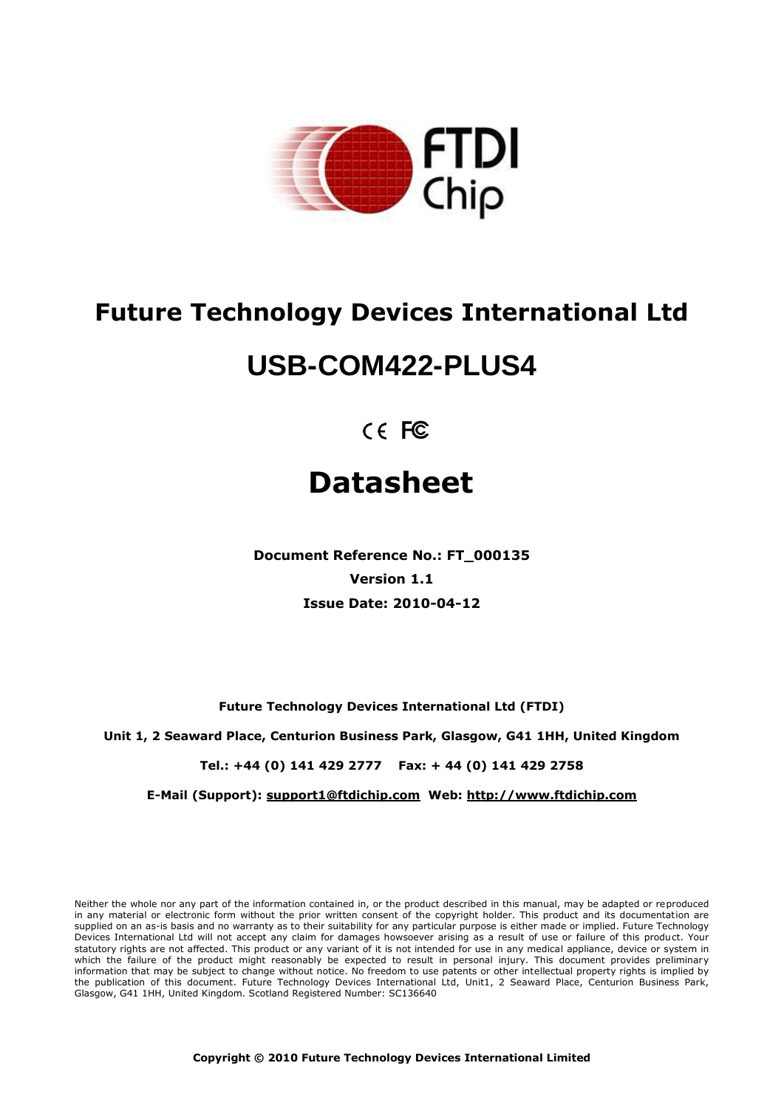

# **Future Technology Devices International Ltd**

# **USB-COM422-PLUS4**

 $C \in FC$ 

# **Datasheet**

**Document Reference No.: FT\_000135 Version 1.1 Issue Date: 2010-04-12**

**Future Technology Devices International Ltd (FTDI)**

**Unit 1, 2 Seaward Place, Centurion Business Park, Glasgow, G41 1HH, United Kingdom**

**Tel.: +44 (0) 141 429 2777 Fax: + 44 (0) 141 429 2758**

**E-Mail (Support): support1@ftdichip.com Web: http://www.ftdichip.com**

Neither the whole nor any part of the information contained in, or the product described in this manual, may be adapted or reproduced in any material or electronic form without the prior written consent of the copyright holder. This product and its documentation are supplied on an as-is basis and no warranty as to their suitability for any particular purpose is either made or implied. Future Technology Devices International Ltd will not accept any claim for damages howsoever arising as a result of use or failure of this product. Your statutory rights are not affected. This product or any variant of it is not intended for use in any medical appliance, device or system in which the failure of the product might reasonably be expected to result in personal injury. This document provides preliminary information that may be subject to change without notice. No freedom to use patents or other intellectual property rights is implied by the publication of this document. Future Technology Devices International Ltd, Unit1, 2 Seaward Place, Centurion Business Park, Glasgow, G41 1HH, United Kingdom. Scotland Registered Number: SC136640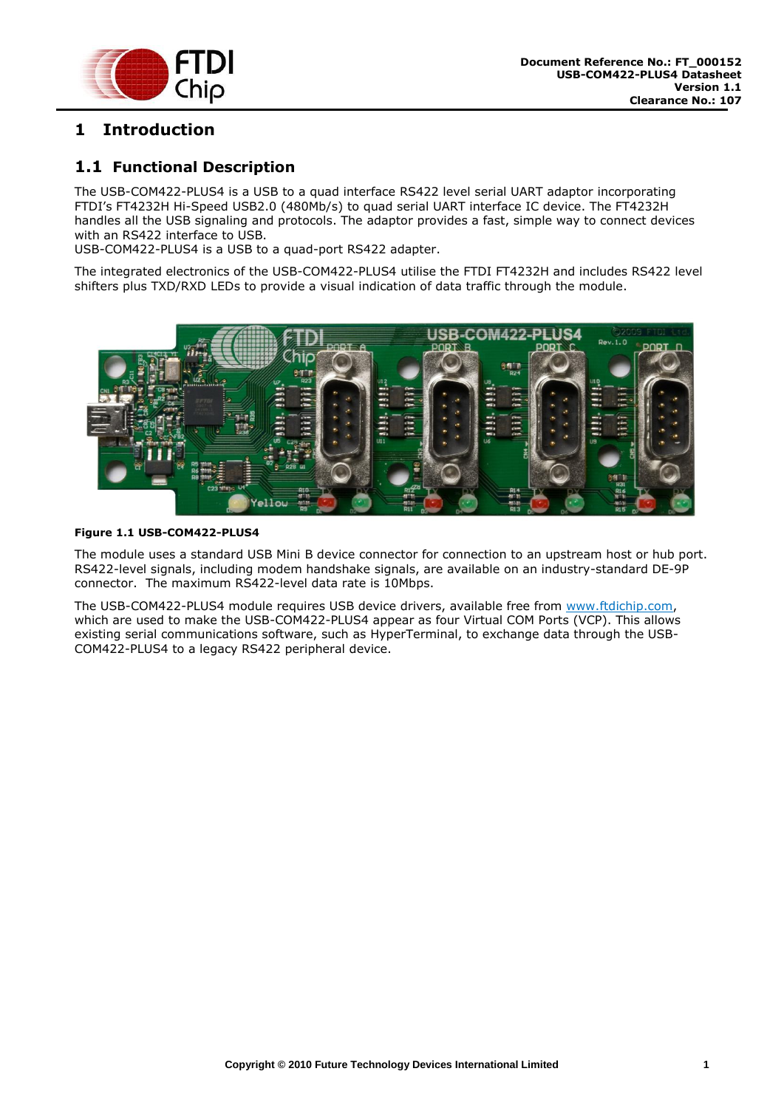

# <span id="page-1-0"></span>**1 Introduction**

#### <span id="page-1-1"></span>**1.1 Functional Description**

The USB-COM422-PLUS4 is a USB to a quad interface RS422 level serial UART adaptor incorporating FTDI's FT4232H Hi-Speed USB2.0 (480Mb/s) to quad serial UART interface IC device. The FT4232H handles all the USB signaling and protocols. The adaptor provides a fast, simple way to connect devices with an RS422 interface to USB.

USB-COM422-PLUS4 is a USB to a quad-port RS422 adapter.

The integrated electronics of the USB-COM422-PLUS4 utilise the FTDI FT4232H and includes RS422 level shifters plus TXD/RXD LEDs to provide a visual indication of data traffic through the module.



#### <span id="page-1-2"></span>**Figure 1.1 USB-COM422-PLUS4**

The module uses a standard USB Mini B device connector for connection to an upstream host or hub port. RS422-level signals, including modem handshake signals, are available on an industry-standard DE-9P connector. The maximum RS422-level data rate is 10Mbps.

The USB-COM422-PLUS4 module requires USB device drivers, available free from [www.ftdichip.com,](http://www.ftdichip.com/) which are used to make the USB-COM422-PLUS4 appear as four Virtual COM Ports (VCP). This allows existing serial communications software, such as HyperTerminal, to exchange data through the USB-COM422-PLUS4 to a legacy RS422 peripheral device.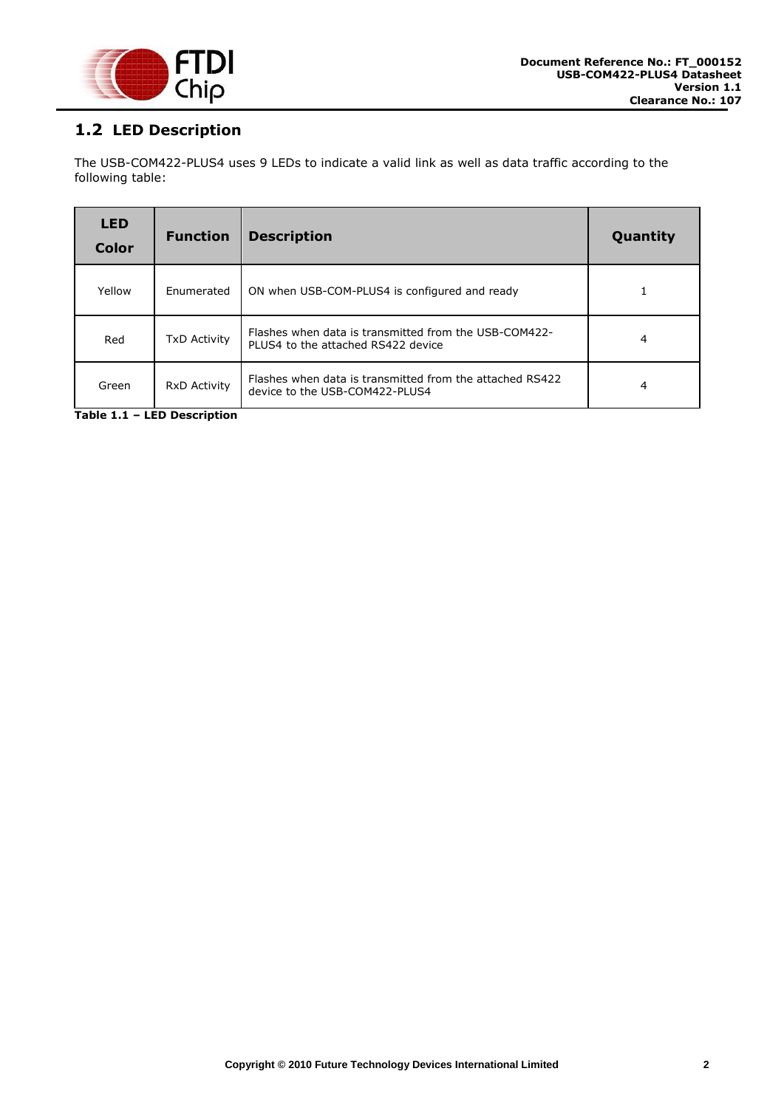

# <span id="page-2-0"></span>**1.2 LED Description**

The USB-COM422-PLUS4 uses 9 LEDs to indicate a valid link as well as data traffic according to the following table:

| <b>LED</b><br><b>Color</b> | <b>Function</b>     | <b>Description</b>                                                                          | Quantity |
|----------------------------|---------------------|---------------------------------------------------------------------------------------------|----------|
| Yellow                     | Enumerated          | ON when USB-COM-PLUS4 is configured and ready                                               |          |
| Red                        | <b>TxD Activity</b> | Flashes when data is transmitted from the USB-COM422-<br>PLUS4 to the attached RS422 device | 4        |
| Green                      | RxD Activity        | Flashes when data is transmitted from the attached RS422<br>device to the USB-COM422-PLUS4  | 4        |

<span id="page-2-1"></span>**Table 1.1 – LED Description**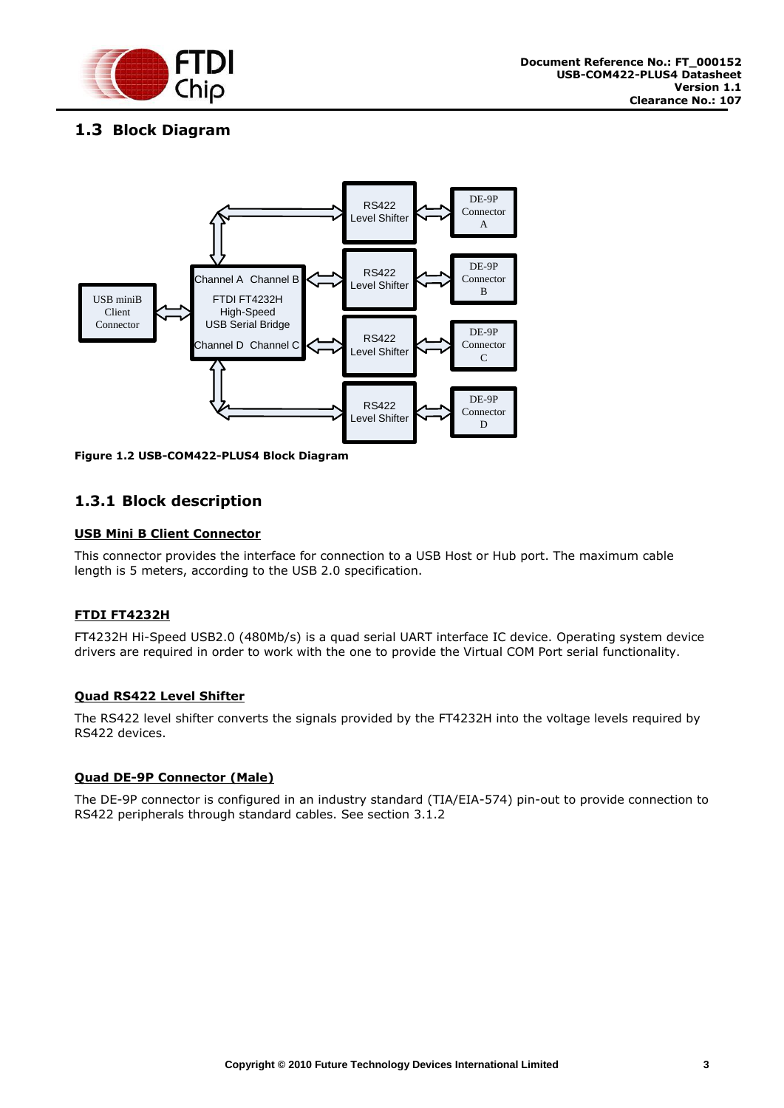

# <span id="page-3-0"></span>**1.3 Block Diagram**



<span id="page-3-2"></span>**Figure 1.2 USB-COM422-PLUS4 Block Diagram**

#### <span id="page-3-1"></span>**1.3.1 Block description**

#### **USB Mini B Client Connector**

This connector provides the interface for connection to a USB Host or Hub port. The maximum cable length is 5 meters, according to the USB 2.0 specification.

#### **FTDI FT4232H**

FT4232H Hi-Speed USB2.0 (480Mb/s) is a quad serial UART interface IC device. Operating system device drivers are required in order to work with the one to provide the Virtual COM Port serial functionality.

#### **Quad RS422 Level Shifter**

The RS422 level shifter converts the signals provided by the FT4232H into the voltage levels required by RS422 devices.

#### **Quad DE-9P Connector (Male)**

The DE-9P connector is configured in an industry standard (TIA/EIA-574) pin-out to provide connection to RS422 peripherals through standard cables. See section [3.1.2](#page-13-0)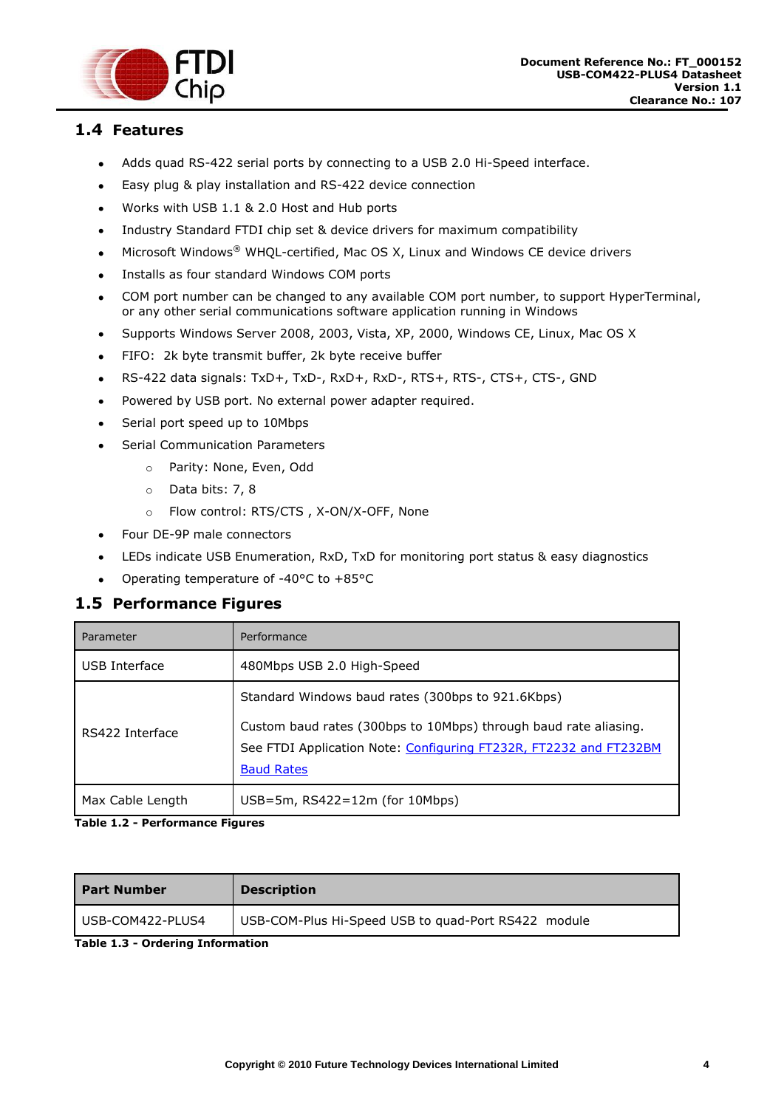

#### <span id="page-4-0"></span>**1.4 Features**

- Adds quad RS-422 serial ports by connecting to a USB 2.0 Hi-Speed interface.
- Easy plug & play installation and RS-422 device connection  $\bullet$
- Works with USB 1.1 & 2.0 Host and Hub ports  $\bullet$
- Industry Standard FTDI chip set & device drivers for maximum compatibility  $\bullet$
- Microsoft Windows® WHQL-certified, Mac OS X, Linux and Windows CE device drivers  $\bullet$
- Installs as four standard Windows COM ports  $\bullet$
- COM port number can be changed to any available COM port number, to support HyperTerminal,  $\bullet$ or any other serial communications software application running in Windows
- Supports Windows Server 2008, 2003, Vista, XP, 2000, Windows CE, Linux, Mac OS X  $\bullet$
- FIFO: 2k byte transmit buffer, 2k byte receive buffer  $\bullet$
- RS-422 data signals: TxD+, TxD-, RxD+, RxD-, RTS+, RTS-, CTS+, CTS-, GND  $\bullet$
- Powered by USB port. No external power adapter required.  $\bullet$
- Serial port speed up to 10Mbps  $\bullet$
- Serial Communication Parameters
	- o Parity: None, Even, Odd
	- o Data bits: 7, 8
	- o Flow control: RTS/CTS , X-ON/X-OFF, None
- Four DE-9P male connectors  $\bullet$
- LEDs indicate USB Enumeration, RxD, TxD for monitoring port status & easy diagnostics  $\bullet$
- Operating temperature of -40°C to +85°C  $\bullet$

#### <span id="page-4-1"></span>**1.5 Performance Figures**

| Parameter        | Performance                                                                                                                                                                                                     |
|------------------|-----------------------------------------------------------------------------------------------------------------------------------------------------------------------------------------------------------------|
| USB Interface    | 480Mbps USB 2.0 High-Speed                                                                                                                                                                                      |
| RS422 Interface  | Standard Windows baud rates (300bps to 921.6Kbps)<br>Custom baud rates (300bps to 10Mbps) through baud rate aliasing.<br>See FTDI Application Note: Configuring FT232R, FT2232 and FT232BM<br><b>Baud Rates</b> |
| Max Cable Length | $USB=5m$ , RS422=12m (for 10Mbps)                                                                                                                                                                               |

#### <span id="page-4-2"></span>**Table 1.2 - Performance Figures**

| <b>Part Number</b> | <b>Description</b>                                  |
|--------------------|-----------------------------------------------------|
| USB-COM422-PLUS4   | USB-COM-Plus Hi-Speed USB to quad-Port RS422 module |

<span id="page-4-3"></span>**Table 1.3 - Ordering Information**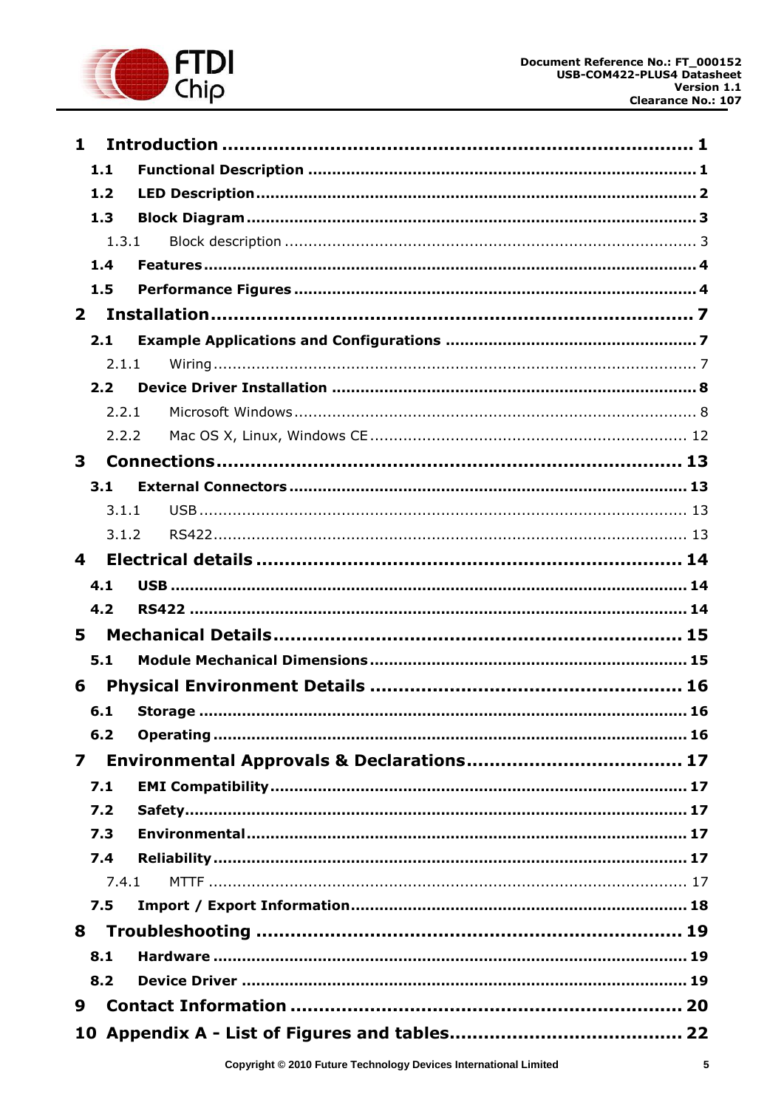

| $\mathbf{1}$   |       |  |
|----------------|-------|--|
| 1.1            |       |  |
| 1.2            |       |  |
| 1.3            |       |  |
|                | 1.3.1 |  |
| 1.4            |       |  |
| 1.5            |       |  |
| $\overline{2}$ |       |  |
|                | 2.1   |  |
|                | 2.1.1 |  |
|                | 2.2   |  |
|                | 2.2.1 |  |
|                | 2.2.2 |  |
| 3              |       |  |
| 3.1            |       |  |
|                | 3.1.1 |  |
|                | 3.1.2 |  |
| 4              |       |  |
| 4.1            |       |  |
| 4.2            |       |  |
| 5              |       |  |
| 5.1            |       |  |
| 6              |       |  |
| 6.1            |       |  |
| 6.2            |       |  |
| $\mathbf{z}$   |       |  |
| 7.1            |       |  |
| 7.2            |       |  |
| 7.3            |       |  |
| 7.4            |       |  |
|                | 7.4.1 |  |
| 7.5            |       |  |
| 8              |       |  |
| 8.1            |       |  |
| 8.2            |       |  |
| 9              |       |  |
|                |       |  |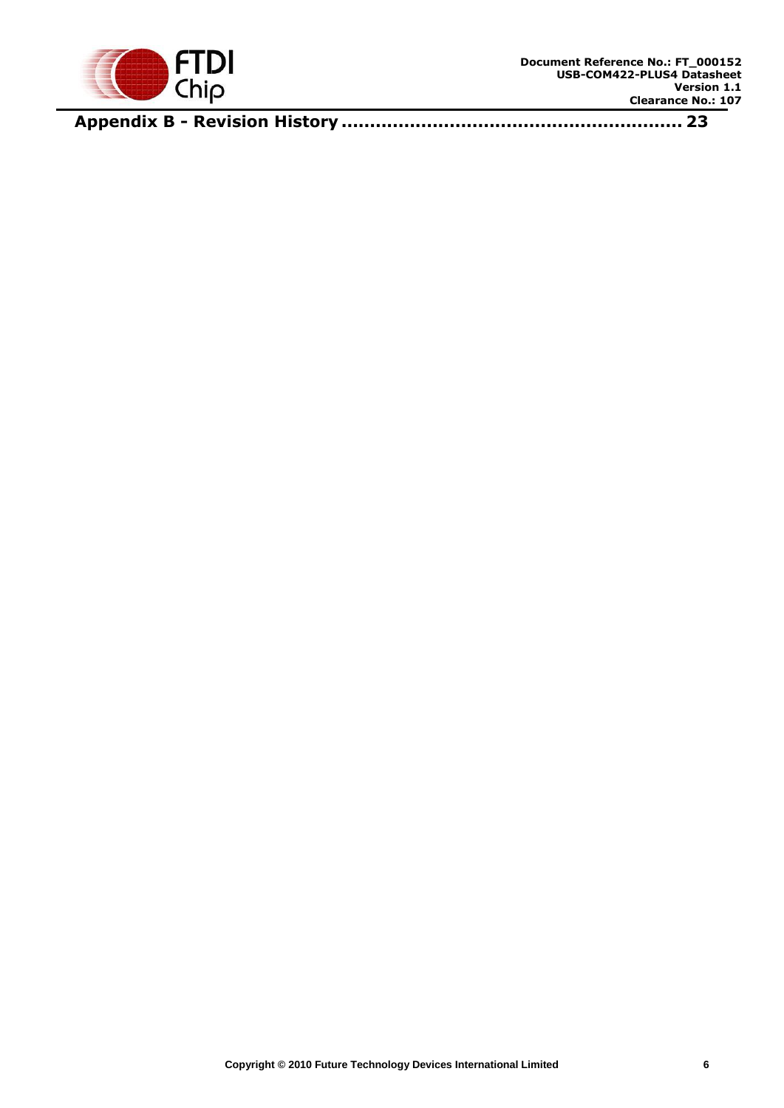

**Appendix B - Revision History [............................................................](#page-23-0) 23**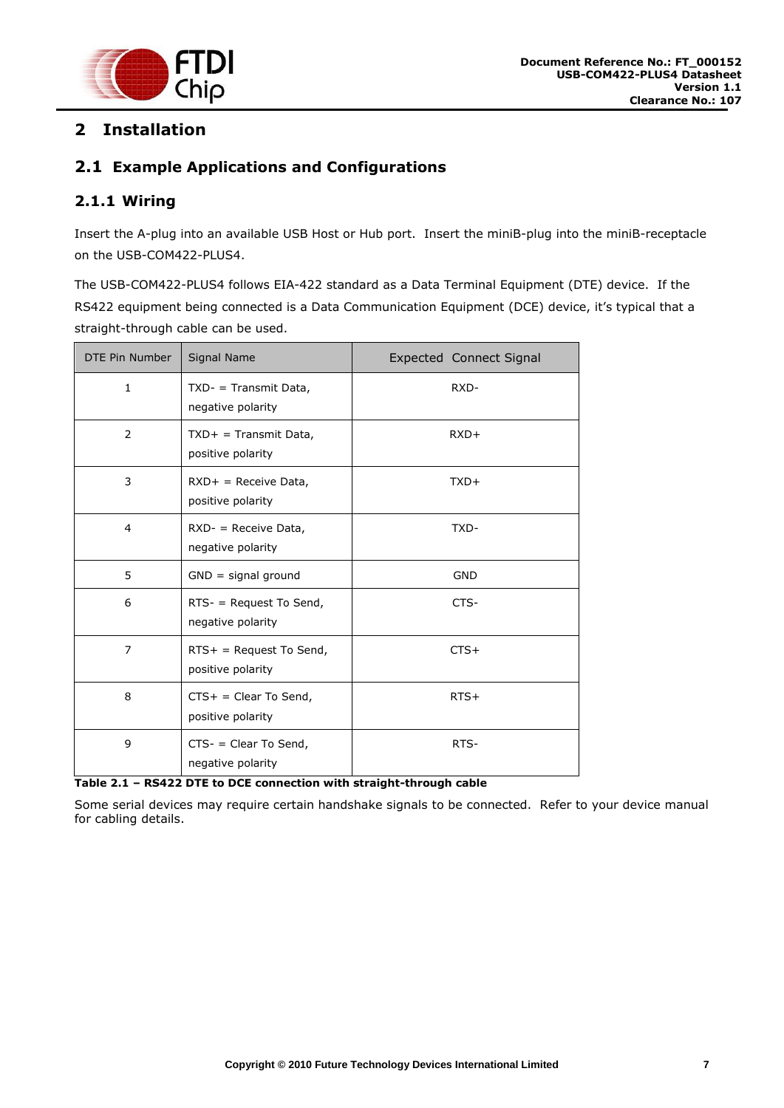

# <span id="page-7-0"></span>**2 Installation**

## <span id="page-7-1"></span>**2.1 Example Applications and Configurations**

#### <span id="page-7-2"></span>**2.1.1 Wiring**

Insert the A-plug into an available USB Host or Hub port. Insert the miniB-plug into the miniB-receptacle on the USB-COM422-PLUS4.

The USB-COM422-PLUS4 follows EIA-422 standard as a Data Terminal Equipment (DTE) device. If the RS422 equipment being connected is a Data Communication Equipment (DCE) device, it's typical that a straight-through cable can be used.

| DTE Pin Number | Signal Name                                     | <b>Expected Connect Signal</b> |
|----------------|-------------------------------------------------|--------------------------------|
| 1              | $TXD - Transmit Data,$<br>negative polarity     | RXD-                           |
| 2              | $TXD+$ = Transmit Data,<br>positive polarity    | $RXD+$                         |
| 3              | $RXD+$ = Receive Data,<br>positive polarity     | $TXD+$                         |
| 4              | $RXD -$ = Receive Data,<br>negative polarity    | TXD-                           |
| 5              | $GND =$ signal ground                           | <b>GND</b>                     |
| 6              | $RTS -$ = Request To Send,<br>negative polarity | CTS-                           |
| $\overline{7}$ | $RTS+$ = Request To Send,<br>positive polarity  | $CTS+$                         |
| 8              | $CTS+ = Clear To Send,$<br>positive polarity    | $RTS+$                         |
| 9              | $CTS -$ = Clear To Send,<br>negative polarity   | RTS-                           |

<span id="page-7-3"></span>**Table 2.1 – RS422 DTE to DCE connection with straight-through cable**

Some serial devices may require certain handshake signals to be connected. Refer to your device manual for cabling details.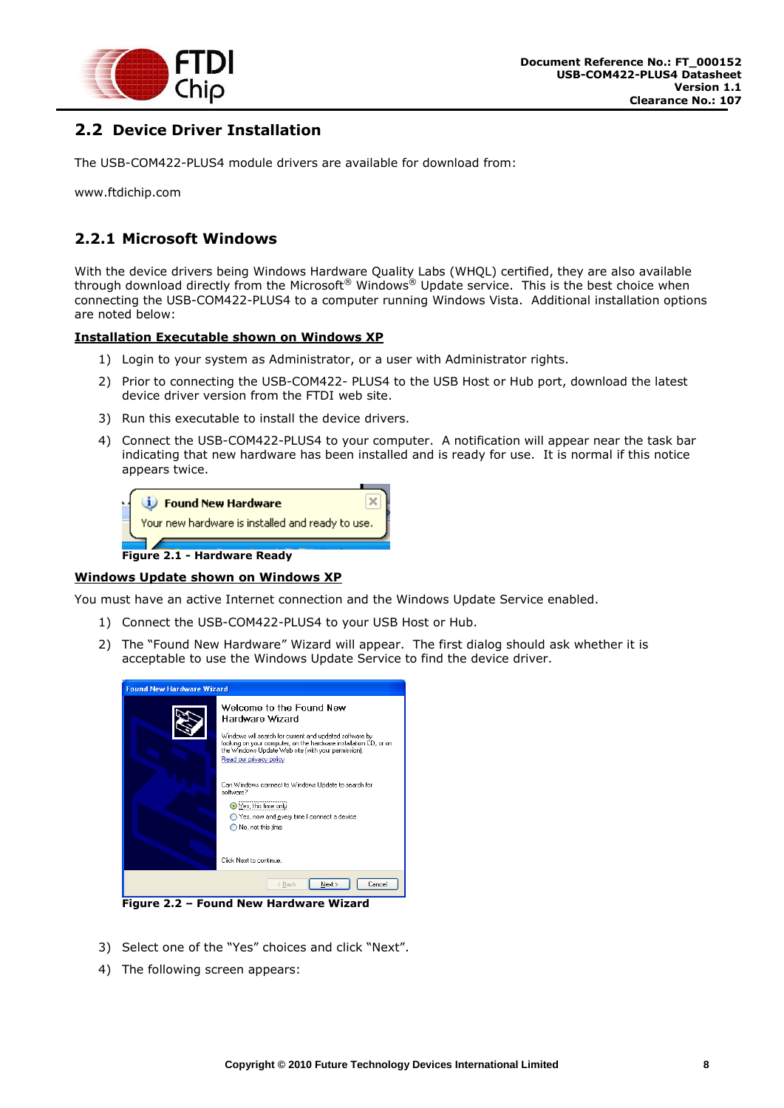

## <span id="page-8-0"></span>**2.2 Device Driver Installation**

The USB-COM422-PLUS4 module drivers are available for download from:

www.ftdichip.com

#### <span id="page-8-1"></span>**2.2.1 Microsoft Windows**

With the device drivers being Windows Hardware Quality Labs (WHQL) certified, they are also available through download directly from the Microsoft® Windows® Update service. This is the best choice when connecting the USB-COM422-PLUS4 to a computer running Windows Vista. Additional installation options are noted below:

#### **Installation Executable shown on Windows XP**

- 1) Login to your system as Administrator, or a user with Administrator rights.
- 2) Prior to connecting the USB-COM422- PLUS4 to the USB Host or Hub port, download the latest device driver version from the FTDI web site.
- 3) Run this executable to install the device drivers.
- 4) Connect the USB-COM422-PLUS4 to your computer. A notification will appear near the task bar indicating that new hardware has been installed and is ready for use. It is normal if this notice appears twice.

| <b>i</b> ) Found New Hardware                    |
|--------------------------------------------------|
| Your new hardware is installed and ready to use. |
| Figure 2.1 - Hardware Ready                      |

#### <span id="page-8-2"></span>**Windows Update shown on Windows XP**

You must have an active Internet connection and the Windows Update Service enabled.

- 1) Connect the USB-COM422-PLUS4 to your USB Host or Hub.
- 2) The "Found New Hardware" Wizard will appear. The first dialog should ask whether it is acceptable to use the Windows Update Service to find the device driver.



<span id="page-8-3"></span>**Figure 2.2 – Found New Hardware Wizard**

- 3) Select one of the "Yes" choices and click "Next".
- 4) The following screen appears: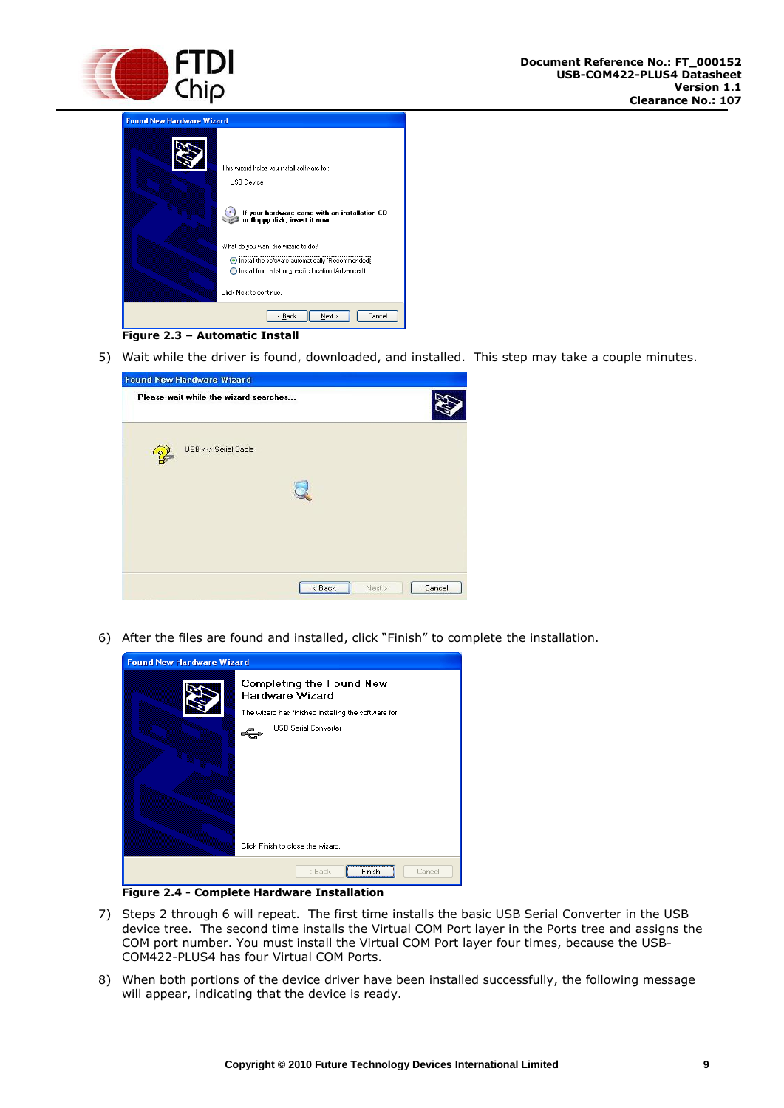

| Found New Hardware Wizard |                                                                                                                                                                                    |
|---------------------------|------------------------------------------------------------------------------------------------------------------------------------------------------------------------------------|
|                           | This wizard helps you install software for:<br>USB Device<br>If your hardware came with an installation CD<br>or floppy disk, insert it now.<br>What do you want the wizard to do? |
|                           | Install the software automatically (Recommended)<br>◯ Install from a list or specific location (Advanced)<br>Click Next to continue.                                               |
|                           | < Back<br>Next<br>Cancel                                                                                                                                                           |



<span id="page-9-0"></span>5) Wait while the driver is found, downloaded, and installed. This step may take a couple minutes.

| <b>Found New Hardware Wizard</b>      |                 |        |
|---------------------------------------|-----------------|--------|
| Please wait while the wizard searches |                 |        |
| USB <-> Serial Cable                  |                 |        |
|                                       |                 |        |
|                                       |                 |        |
|                                       | < Back<br>Next> | Cancel |

6) After the files are found and installed, click "Finish" to complete the installation.

| <b>Found New Hardware Wizard</b> |                                                      |  |  |  |
|----------------------------------|------------------------------------------------------|--|--|--|
|                                  | Completing the Found New<br><b>Hardware Wizard</b>   |  |  |  |
|                                  | The wizard has finished installing the software for: |  |  |  |
|                                  | <b>USB Serial Converter</b>                          |  |  |  |
|                                  | Click Finish to close the wizard.                    |  |  |  |
|                                  | < Back<br>Cancel<br>Finish                           |  |  |  |

**Figure 2.4 - Complete Hardware Installation**

- <span id="page-9-1"></span>7) Steps 2 through 6 will repeat. The first time installs the basic USB Serial Converter in the USB device tree. The second time installs the Virtual COM Port layer in the Ports tree and assigns the COM port number. You must install the Virtual COM Port layer four times, because the USB-COM422-PLUS4 has four Virtual COM Ports.
- 8) When both portions of the device driver have been installed successfully, the following message will appear, indicating that the device is ready.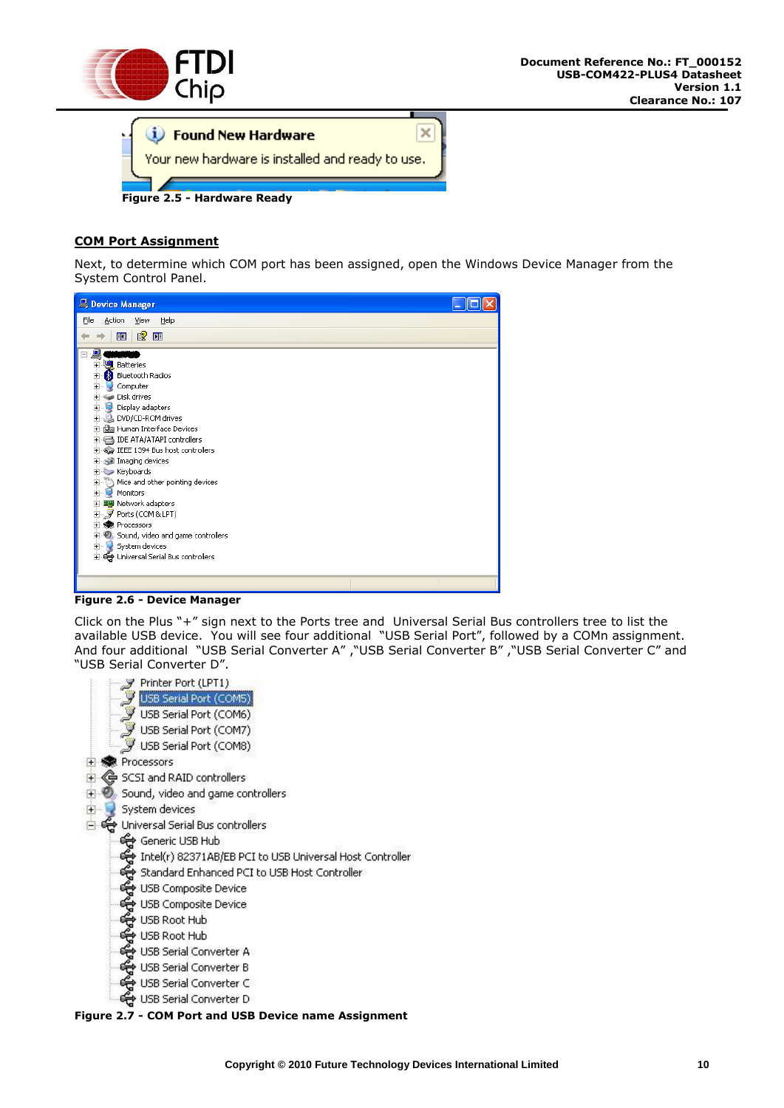



#### <span id="page-10-0"></span>**COM Port Assignment**

Next, to determine which COM port has been assigned, open the Windows Device Manager from the System Control Panel.



**Figure 2.6 - Device Manager**

<span id="page-10-1"></span>Click on the Plus "+" sign next to the Ports tree and Universal Serial Bus controllers tree to list the available USB device. You will see four additional "USB Serial Port", followed by a COMn assignment. And four additional "USB Serial Converter A" ,"USB Serial Converter B" ,"USB Serial Converter C" and "USB Serial Converter D".



<span id="page-10-2"></span>**Figure 2.7 - COM Port and USB Device name Assignment**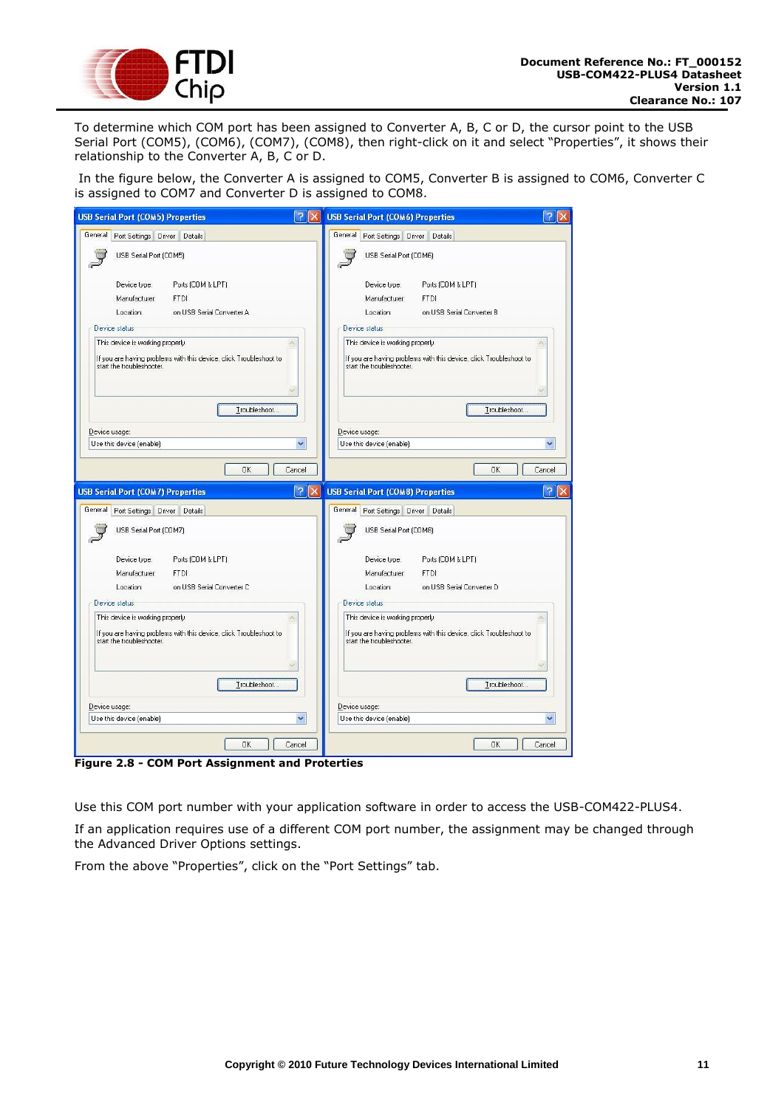

To determine which COM port has been assigned to Converter A, B, C or D, the cursor point to the USB Serial Port (COM5), (COM6), (COM7), (COM8), then right-click on it and select "Properties", it shows their relationship to the Converter A, B, C or D.

In the figure below, the Converter A is assigned to COM5, Converter B is assigned to COM6, Converter C is assigned to COM7 and Converter D is assigned to COM8.

| <b>USB Serial Port (COM5) Properties</b>                                                                                                                                            | ?<br>X USB Serial Port (COM6) Properties<br>?                                                                                       |
|-------------------------------------------------------------------------------------------------------------------------------------------------------------------------------------|-------------------------------------------------------------------------------------------------------------------------------------|
| General<br>Port Settings Driver Details                                                                                                                                             | General<br>Port Settings Driver Details                                                                                             |
| USB Serial Port (COM5)                                                                                                                                                              | USB Serial Port (COM6)                                                                                                              |
| Device type:<br>Ports (COM & LPT)<br><b>FTDI</b><br>Manufacturer:<br>Location:<br>on USB Serial Converter A<br>Device status                                                        | Device type:<br>Ports (COM & LPT)<br>Manufacturer:<br>FTDI<br>Location:<br>on USB Serial Converter B<br>Device status               |
| This device is working properly.<br>If you are having problems with this device, click Troubleshoot to<br>start the troubleshooter.                                                 | This device is working properly.<br>If you are having problems with this device, click Troubleshoot to<br>start the troubleshooter. |
| Troubleshoot                                                                                                                                                                        | Troubleshoot                                                                                                                        |
| Device usage:                                                                                                                                                                       | Device usage:                                                                                                                       |
| Use this device (enable)                                                                                                                                                            | ×<br>Use this device (enable)<br>v                                                                                                  |
| $\Omega$ K                                                                                                                                                                          | QK<br>Cancel<br>Cancel<br>$\overline{?}$<br>2<br><b>USB Serial Port (COMB) Properties</b><br>$\times$                               |
| Port Settings Driver Details<br>USB Serial Port (COM7)                                                                                                                              | General Port Settings Driver Details<br>USB Serial Port (COM8)                                                                      |
| <b>USB Serial Port (COM7) Properties</b><br>General<br>Device type:<br>Ports (COM & LPT)<br>Manufacturer:<br><b>FTDI</b><br>Location:<br>on USB Serial Converter C<br>Device status | Device type:<br>Ports (COM & LPT)<br>Manufacturer:<br><b>FTDI</b><br>Location:<br>on USB Serial Converter D<br>Device status        |
| This device is working properly.<br>If you are having problems with this device, click Troubleshoot to<br>start the troubleshooter.                                                 | This device is working properly.<br>If you are having problems with this device, click Troubleshoot to<br>start the troubleshooter. |
| Troubleshoot                                                                                                                                                                        | Troubleshoot                                                                                                                        |
|                                                                                                                                                                                     | Device usage:                                                                                                                       |
| Device usage:<br>Use this device (enable)                                                                                                                                           | Use this device (enable)<br>v<br>v                                                                                                  |

<span id="page-11-0"></span>**Figure 2.8 - COM Port Assignment and Proterties**

Use this COM port number with your application software in order to access the USB-COM422-PLUS4.

If an application requires use of a different COM port number, the assignment may be changed through the Advanced Driver Options settings.

From the above "Properties", click on the "Port Settings" tab.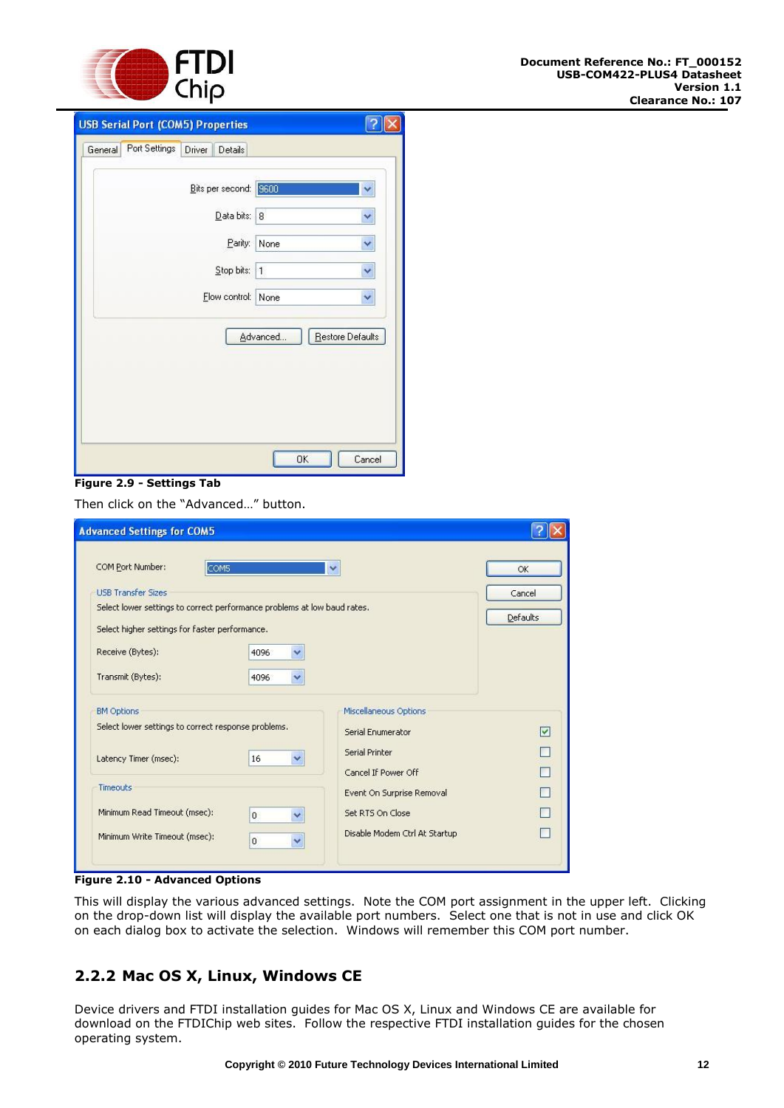

| Bits per second: 9600<br>Data bits: 8<br>Parity:<br>None<br>Stop bits:<br> 1 <br>Flow control: None | ×<br>Y, |
|-----------------------------------------------------------------------------------------------------|---------|
|                                                                                                     |         |
|                                                                                                     |         |
|                                                                                                     |         |
|                                                                                                     | Y       |
|                                                                                                     |         |
| Restore Defaults<br>Advanced                                                                        |         |

#### <span id="page-12-1"></span>**Figure 2.9 - Settings Tab**

Then click on the "Advanced…" button.

| <b>Advanced Settings for COM5</b>                                        |              |                               |                 |
|--------------------------------------------------------------------------|--------------|-------------------------------|-----------------|
| COM Port Number:<br>COM5                                                 |              | $\overline{\phantom{a}}$      | OK              |
| <b>LISB Transfer Sizes</b>                                               |              |                               | Cancel          |
| Select lower settings to correct performance problems at low baud rates. |              |                               | <b>Defaults</b> |
| Select higher settings for faster performance.                           |              |                               |                 |
| Receive (Bytes):                                                         | 4096         |                               |                 |
| Transmit (Bytes):                                                        | 4096<br>v    |                               |                 |
| <b>BM Options</b>                                                        |              | Miscellaneous Options         |                 |
| Select lower settings to correct response problems.                      |              | Serial Enumerator             | M               |
| Latency Timer (msec):                                                    | 16<br>v      | Serial Printer                |                 |
|                                                                          |              | Cancel If Power Off           |                 |
| Timeouts                                                                 |              | Event On Surprise Removal     |                 |
| Minimum Read Timeout (msec):                                             | $\mathbf{0}$ | Set RTS On Close              |                 |
| Minimum Write Timeout (msec):                                            | $\mathbf 0$  | Disable Modem Ctrl At Startup |                 |
|                                                                          |              |                               |                 |

<span id="page-12-2"></span>**Figure 2.10 - Advanced Options** 

This will display the various advanced settings. Note the COM port assignment in the upper left. Clicking on the drop-down list will display the available port numbers. Select one that is not in use and click OK on each dialog box to activate the selection. Windows will remember this COM port number.

#### <span id="page-12-0"></span>**2.2.2 Mac OS X, Linux, Windows CE**

Device drivers and FTDI installation guides for Mac OS X, Linux and Windows CE are available for download on the FTDIChip web sites. Follow the respective FTDI installation guides for the chosen operating system.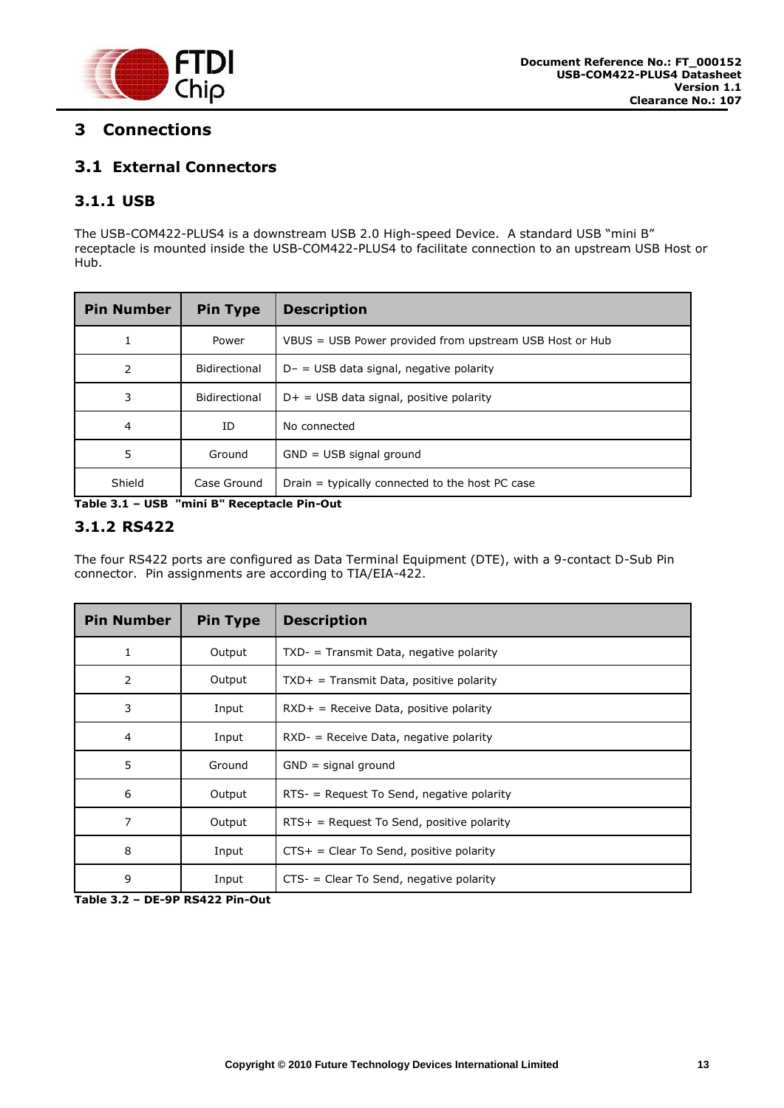

# <span id="page-13-1"></span>**3 Connections**

#### <span id="page-13-2"></span>**3.1 External Connectors**

#### <span id="page-13-3"></span>**3.1.1 USB**

The USB-COM422-PLUS4 is a downstream USB 2.0 High-speed Device. A standard USB "mini B" receptacle is mounted inside the USB-COM422-PLUS4 to facilitate connection to an upstream USB Host or Hub.

| <b>Pin Number</b> | <b>Pin Type</b> | <b>Description</b>                                      |
|-------------------|-----------------|---------------------------------------------------------|
|                   | Power           | VBUS = USB Power provided from upstream USB Host or Hub |
| 2                 | Bidirectional   | $D - =$ USB data signal, negative polarity              |
| 3                 | Bidirectional   | $D+$ = USB data signal, positive polarity               |
| $\overline{4}$    | ID              | No connected                                            |
| 5                 | Ground          | $GND = USB$ signal ground                               |
| Shield            | Case Ground     | Drain = typically connected to the host PC case         |

<span id="page-13-4"></span>**Table 3.1 – USB "mini B" Receptacle Pin-Out**

#### <span id="page-13-0"></span>**3.1.2 RS422**

The four RS422 ports are configured as Data Terminal Equipment (DTE), with a 9-contact D-Sub Pin connector. Pin assignments are according to TIA/EIA-422.

| <b>Pin Number</b> | <b>Pin Type</b> | <b>Description</b>                           |
|-------------------|-----------------|----------------------------------------------|
| 1                 | Output          | $TXD -$ = Transmit Data, negative polarity   |
| 2                 | Output          | $TXD+$ = Transmit Data, positive polarity    |
| 3                 | Input           | $RXD+$ = Receive Data, positive polarity     |
| 4                 | Input           | $RXD -$ = Receive Data, negative polarity    |
| 5                 | Ground          | $GND =$ signal ground                        |
| 6                 | Output          | $RTS -$ = Request To Send, negative polarity |
| 7                 | Output          | $RTS+$ = Request To Send, positive polarity  |
| 8                 | Input           | $CTS+ = Clear To Send, positive polarity$    |
| 9                 | Input           | $CTS -$ = Clear To Send, negative polarity   |

<span id="page-13-5"></span>**Table 3.2 – DE-9P RS422 Pin-Out**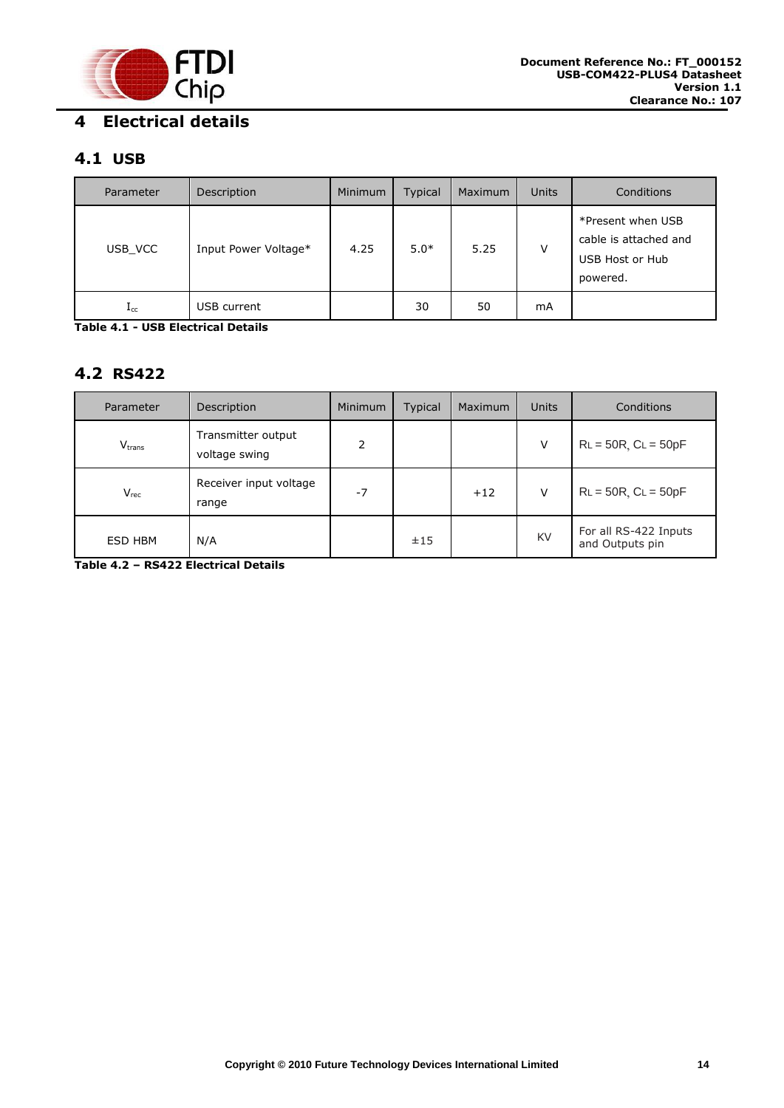

### <span id="page-14-1"></span><span id="page-14-0"></span>**4.1 USB**

| Parameter    | Description          | Minimum | <b>Typical</b> | Maximum | <b>Units</b> | Conditions                                                                |
|--------------|----------------------|---------|----------------|---------|--------------|---------------------------------------------------------------------------|
| USB VCC      | Input Power Voltage* | 4.25    | $5.0*$         | 5.25    | V            | *Present when USB<br>cable is attached and<br>USB Host or Hub<br>powered. |
| $_{\rm Lcc}$ | USB current          |         | 30             | 50      | mA           |                                                                           |

<span id="page-14-3"></span>**Table 4.1 - USB Electrical Details**

#### <span id="page-14-2"></span>**4.2 RS422**

| Parameter   | Description                         | <b>Minimum</b>           | <b>Typical</b> | Maximum | <b>Units</b> | Conditions                               |
|-------------|-------------------------------------|--------------------------|----------------|---------|--------------|------------------------------------------|
| $V_{trans}$ | Transmitter output<br>voltage swing | $\overline{\phantom{a}}$ |                |         | v            | $RL = 50R$ , $CL = 50pF$                 |
| $V_{rec}$   | Receiver input voltage<br>range     | $-7$                     |                | $+12$   | V            | $RL = 50R$ , $CL = 50pF$                 |
| ESD HBM     | N/A                                 |                          | ±15            |         | KV           | For all RS-422 Inputs<br>and Outputs pin |

<span id="page-14-4"></span>**Table 4.2 – RS422 Electrical Details**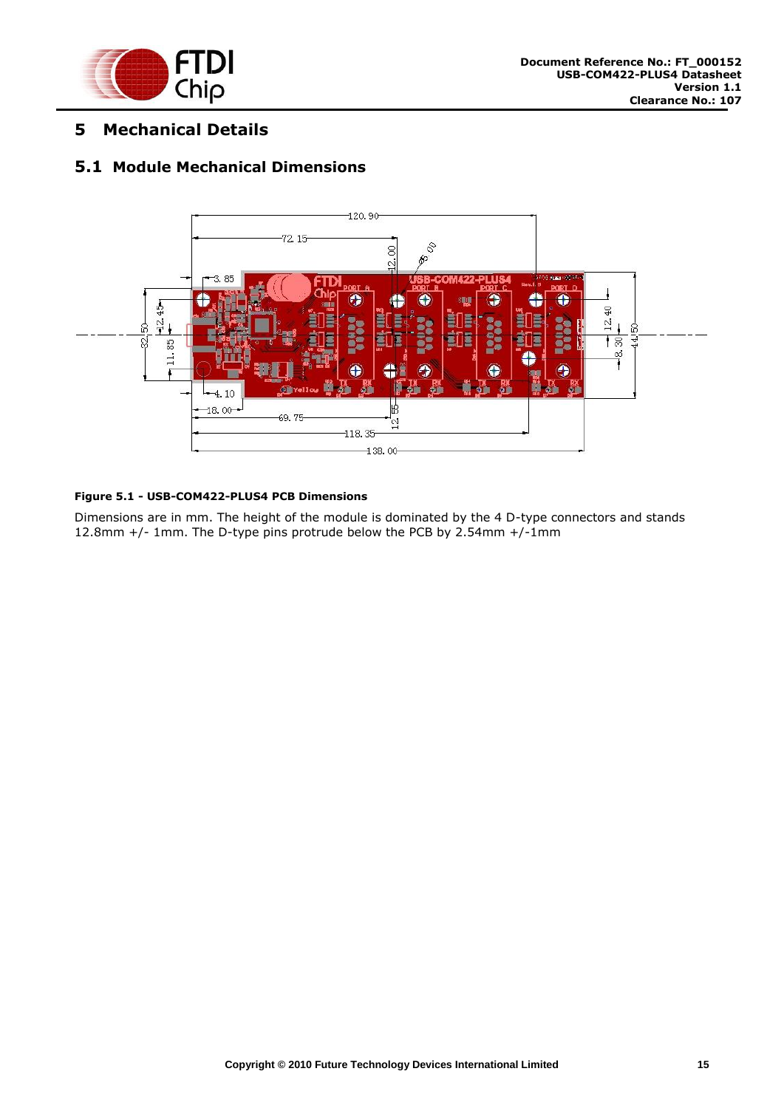

#### <span id="page-15-0"></span>**5 Mechanical Details**

#### <span id="page-15-1"></span>**5.1 Module Mechanical Dimensions**



#### <span id="page-15-2"></span>**Figure 5.1 - USB-COM422-PLUS4 PCB Dimensions**

Dimensions are in mm. The height of the module is dominated by the 4 D-type connectors and stands 12.8mm +/- 1mm. The D-type pins protrude below the PCB by 2.54mm +/-1mm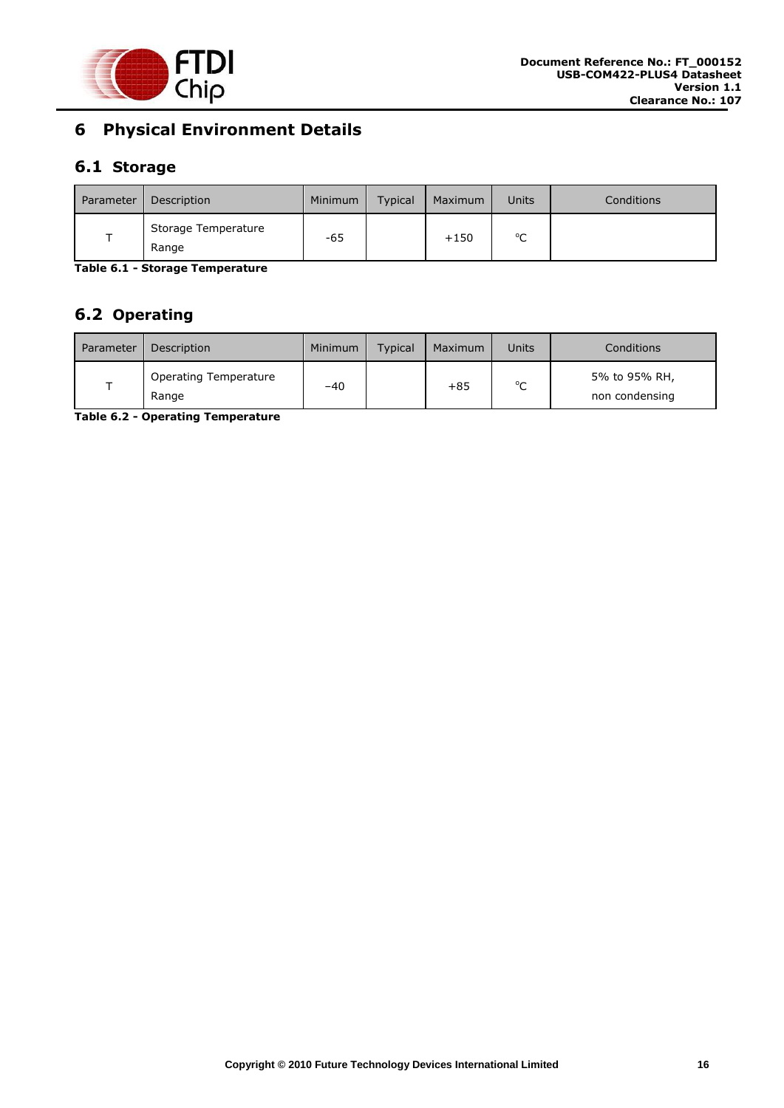

# <span id="page-16-0"></span>**6 Physical Environment Details**

# <span id="page-16-1"></span>**6.1 Storage**

| Parameter | Description                  | Minimum | <b>Typical</b> | Maximum | Units       | Conditions |
|-----------|------------------------------|---------|----------------|---------|-------------|------------|
|           | Storage Temperature<br>Range | -65     |                | $+150$  | $\sim$<br>֊ |            |

<span id="page-16-3"></span>**Table 6.1 - Storage Temperature** 

# <span id="page-16-2"></span>**6.2 Operating**

| Parameter | Description                           | Minimum | <b>Typical</b> | Maximum | Units       | Conditions                      |
|-----------|---------------------------------------|---------|----------------|---------|-------------|---------------------------------|
|           | <b>Operating Temperature</b><br>Range | $-40$   |                | $+85$   | $\sim$<br>◡ | 5% to 95% RH,<br>non condensing |

<span id="page-16-4"></span>**Table 6.2 - Operating Temperature**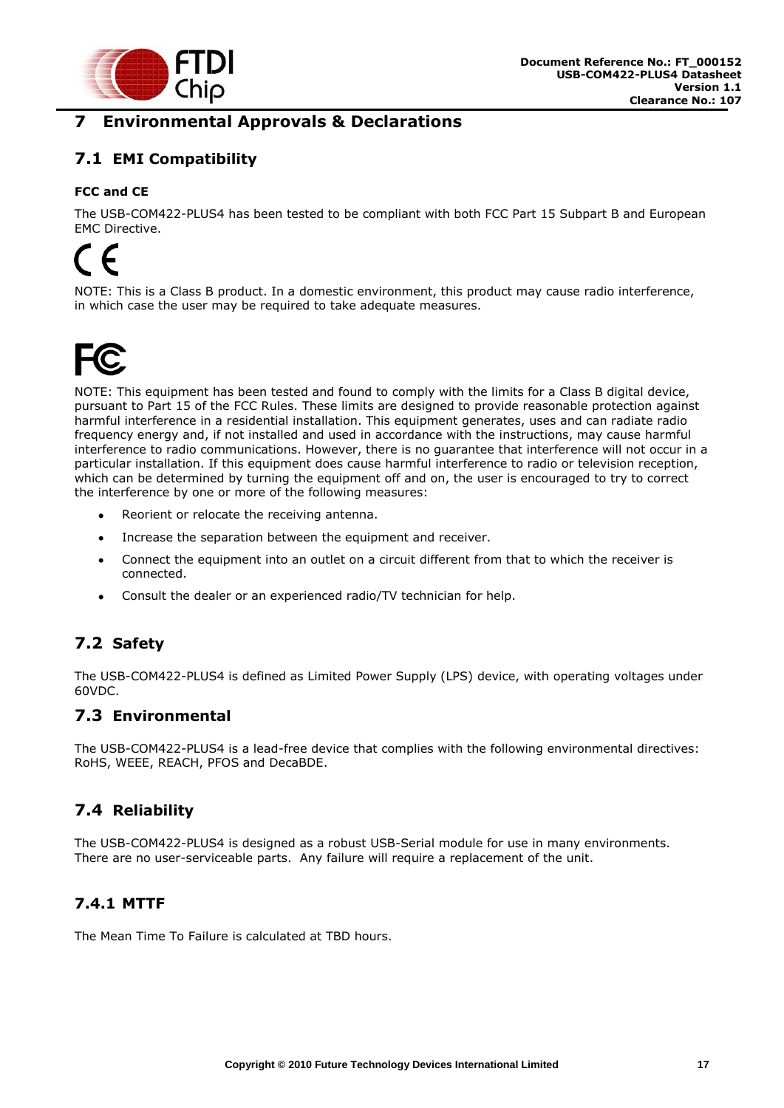

# <span id="page-17-0"></span>**7 Environmental Approvals & Declarations**

# <span id="page-17-1"></span>**7.1 EMI Compatibility**

#### **FCC and CE**

The USB-COM422-PLUS4 has been tested to be compliant with both FCC Part 15 Subpart B and European EMC Directive.

# $\epsilon$

NOTE: This is a Class B product. In a domestic environment, this product may cause radio interference, in which case the user may be required to take adequate measures.



NOTE: This equipment has been tested and found to comply with the limits for a Class B digital device, pursuant to Part 15 of the FCC Rules. These limits are designed to provide reasonable protection against harmful interference in a residential installation. This equipment generates, uses and can radiate radio frequency energy and, if not installed and used in accordance with the instructions, may cause harmful interference to radio communications. However, there is no guarantee that interference will not occur in a particular installation. If this equipment does cause harmful interference to radio or television reception, which can be determined by turning the equipment off and on, the user is encouraged to try to correct the interference by one or more of the following measures:

- Reorient or relocate the receiving antenna.
- $\bullet$ Increase the separation between the equipment and receiver.
- Connect the equipment into an outlet on a circuit different from that to which the receiver is  $\bullet$ connected.
- Consult the dealer or an experienced radio/TV technician for help.  $\bullet$

# <span id="page-17-2"></span>**7.2 Safety**

The USB-COM422-PLUS4 is defined as Limited Power Supply (LPS) device, with operating voltages under 60VDC.

#### <span id="page-17-3"></span>**7.3 Environmental**

The USB-COM422-PLUS4 is a lead-free device that complies with the following environmental directives: RoHS, WEEE, REACH, PFOS and DecaBDE.

### <span id="page-17-4"></span>**7.4 Reliability**

The USB-COM422-PLUS4 is designed as a robust USB-Serial module for use in many environments. There are no user-serviceable parts. Any failure will require a replacement of the unit.

### <span id="page-17-5"></span>**7.4.1 MTTF**

The Mean Time To Failure is calculated at TBD hours.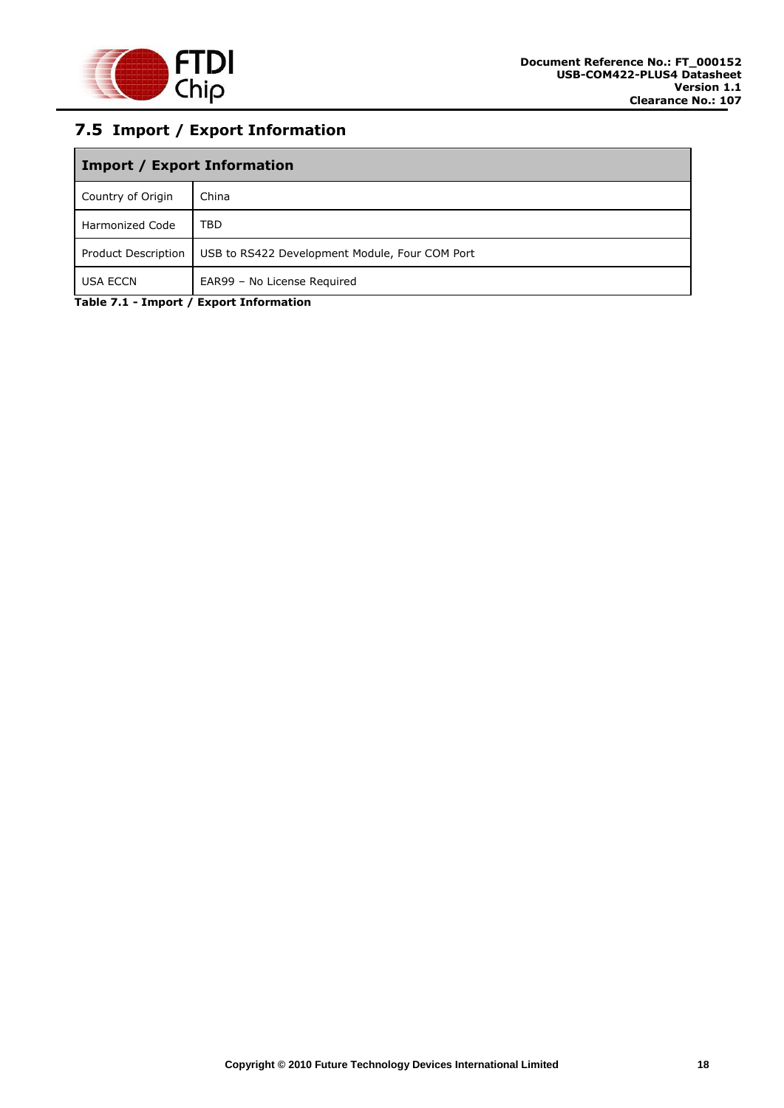

# <span id="page-18-0"></span>**7.5 Import / Export Information**

| <b>Import / Export Information</b> |                                                |  |  |  |
|------------------------------------|------------------------------------------------|--|--|--|
| Country of Origin                  | China                                          |  |  |  |
| <b>Harmonized Code</b>             | TBD                                            |  |  |  |
| Product Description                | USB to RS422 Development Module, Four COM Port |  |  |  |
| <b>USA ECCN</b>                    | EAR99 - No License Required                    |  |  |  |

<span id="page-18-1"></span>**Table 7.1 - Import / Export Information**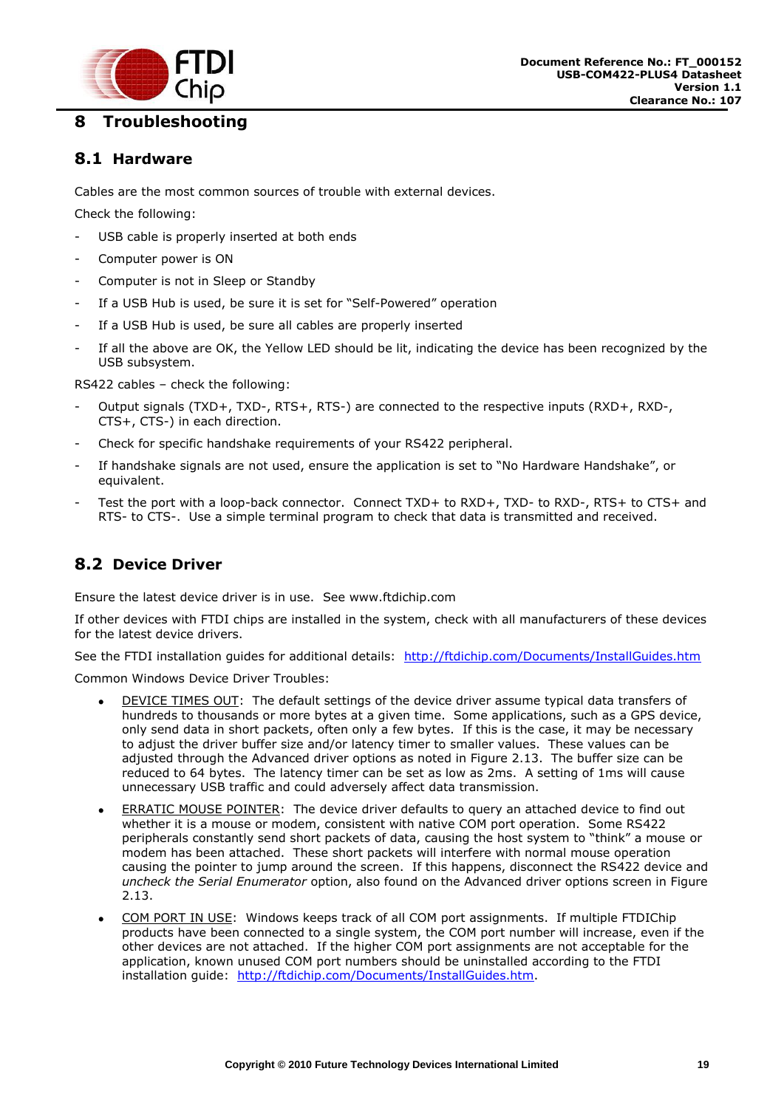

# <span id="page-19-0"></span>**8 Troubleshooting**

#### <span id="page-19-1"></span>**8.1 Hardware**

Cables are the most common sources of trouble with external devices.

Check the following:

- USB cable is properly inserted at both ends
- Computer power is ON
- Computer is not in Sleep or Standby
- If a USB Hub is used, be sure it is set for "Self-Powered" operation
- If a USB Hub is used, be sure all cables are properly inserted
- If all the above are OK, the Yellow LED should be lit, indicating the device has been recognized by the USB subsystem.

RS422 cables – check the following:

- Output signals (TXD+, TXD-, RTS+, RTS-) are connected to the respective inputs (RXD+, RXD-, CTS+, CTS-) in each direction.
- Check for specific handshake requirements of your RS422 peripheral.
- If handshake signals are not used, ensure the application is set to "No Hardware Handshake", or equivalent.
- Test the port with a loop-back connector. Connect TXD+ to RXD+, TXD- to RXD-, RTS+ to CTS+ and RTS- to CTS-. Use a simple terminal program to check that data is transmitted and received.

### <span id="page-19-2"></span>**8.2 Device Driver**

Ensure the latest device driver is in use. See www.ftdichip.com

If other devices with FTDI chips are installed in the system, check with all manufacturers of these devices for the latest device drivers.

See the FTDI installation guides for additional details: <http://ftdichip.com/Documents/InstallGuides.htm>

Common Windows Device Driver Troubles:

- DEVICE TIMES OUT: The default settings of the device driver assume typical data transfers of hundreds to thousands or more bytes at a given time. Some applications, such as a GPS device, only send data in short packets, often only a few bytes. If this is the case, it may be necessary to adjust the driver buffer size and/or latency timer to smaller values. These values can be adjusted through the Advanced driver options as noted in Figure 2.13. The buffer size can be reduced to 64 bytes. The latency timer can be set as low as 2ms. A setting of 1ms will cause unnecessary USB traffic and could adversely affect data transmission.
- ERRATIC MOUSE POINTER: The device driver defaults to query an attached device to find out whether it is a mouse or modem, consistent with native COM port operation. Some RS422 peripherals constantly send short packets of data, causing the host system to "think" a mouse or modem has been attached. These short packets will interfere with normal mouse operation causing the pointer to jump around the screen. If this happens, disconnect the RS422 device and *uncheck the Serial Enumerator* option, also found on the Advanced driver options screen in Figure 2.13.
- COM PORT IN USE: Windows keeps track of all COM port assignments. If multiple FTDIChip products have been connected to a single system, the COM port number will increase, even if the other devices are not attached. If the higher COM port assignments are not acceptable for the application, known unused COM port numbers should be uninstalled according to the FTDI installation guide: [http://ftdichip.com/Documents/InstallGuides.htm.](http://ftdichip.com/Documents/InstallGuides.htm)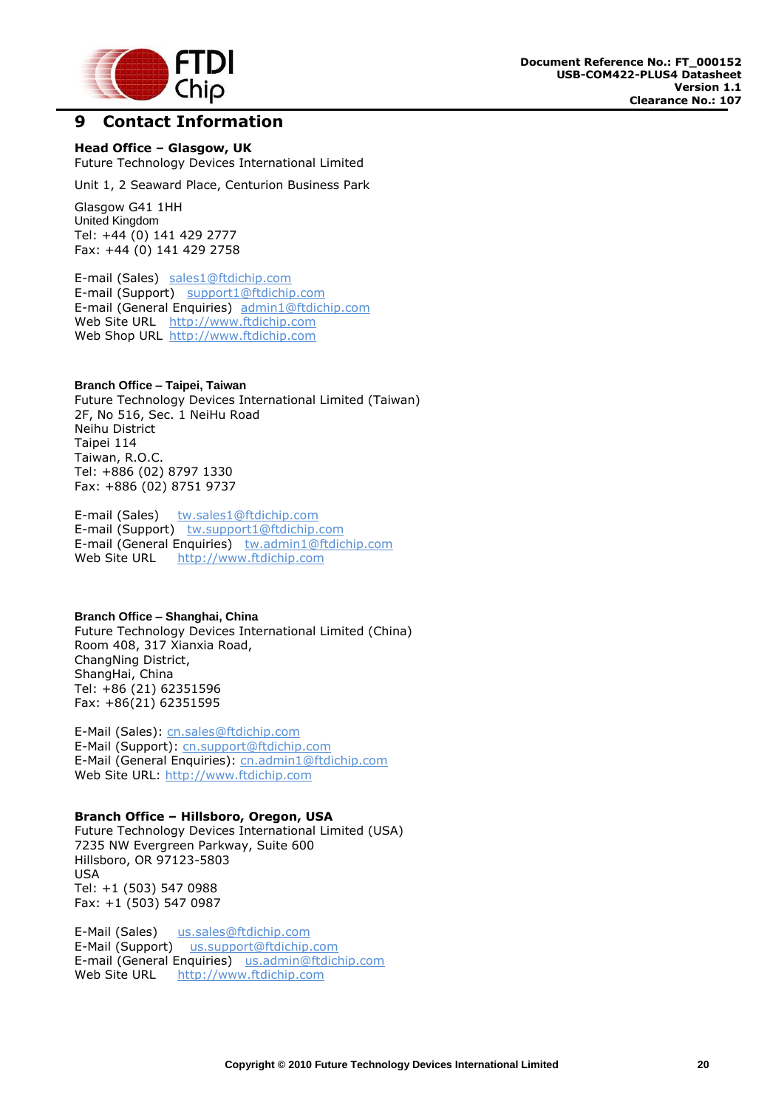

#### <span id="page-20-0"></span>**9 Contact Information**

**Head Office – Glasgow, UK** Future Technology Devices International Limited

Unit 1, 2 Seaward Place, Centurion Business Park

Glasgow G41 1HH United Kingdom Tel: +44 (0) 141 429 2777 Fax: +44 (0) 141 429 2758

E-mail (Sales) [sales1@ftdichip.com](mailto:sales1@ftdichip.com) E-mail (Support) [support1@ftdichip.com](mailto:support1@ftdichip.com) E-mail (General Enquiries) [admin1@ftdichip.com](mailto:admin1@ftdichip.com) Web Site URL [http://www.ftdichip.com](http://www.ftdichip.com/) Web Shop URL [http://www.ftdichip.com](http://www.ftdichip.com/)

#### **Branch Office – Taipei, Taiwan**

Future Technology Devices International Limited (Taiwan) 2F, No 516, Sec. 1 NeiHu Road Neihu District Taipei 114 Taiwan, R.O.C. Tel: +886 (02) 8797 1330 Fax: +886 (02) 8751 9737

E-mail (Sales) [tw.sales1@ftdichip.com](mailto:tw.sales1@ftdichip.com) E-mail (Support) [tw.support1@ftdichip.com](mailto:tw.support1@ftdichip.com) E-mail (General Enquiries) [tw.admin1@ftdichip.com](mailto:tw.admin1@ftdichip.com) Web Site URL [http://www.ftdichip.com](http://www.ftdichip.com/)

#### **Branch Office – Shanghai, China**

Future Technology Devices International Limited (China) Room 408, 317 Xianxia Road, ChangNing District, ShangHai, China Tel: +86 [\(21\) 6](LiveCall:(503)547-0988)2351596 Fax: +8[6\(21\) 6](LiveCall:(503)547-0987)2351595

E-Mail (Sales): [cn.sales@ftdichip.com](mailto:cn.sales@ftdichip.com) E-Mail (Support): c[n.support@ftdichip.](mailto:.support@ftdichip)com E-Mail (General Enquiries): cn[.admin1@ftdichip.com](mailto:admin1@ftdichip.com) Web Site URL: [http://www.ftdichip.com](http://www.ftdichip.com/)

#### **Branch Office – Hillsboro, Oregon, USA**

Future Technology Devices International Limited (USA) 7235 NW Evergreen Parkway, Suite 600 Hillsboro, OR 97123-5803 USA Tel: +1 (503) 547 0988 Fax: +1 (503) 547 0987

E-Mail (Sales) [us.sales@ftdichip.com](mailto:us.sales@ftdichip.com) E-Mail (Support) [us.support@ftdichip.com](mailto:us.support@ftdichip.com) E-mail (General Enquiries) [us.admin@ftdichip.com](mailto:us.admin@ftdichip.com) Web Site URL [http://www.ftdichip.com](http://www.ftdichip.com/)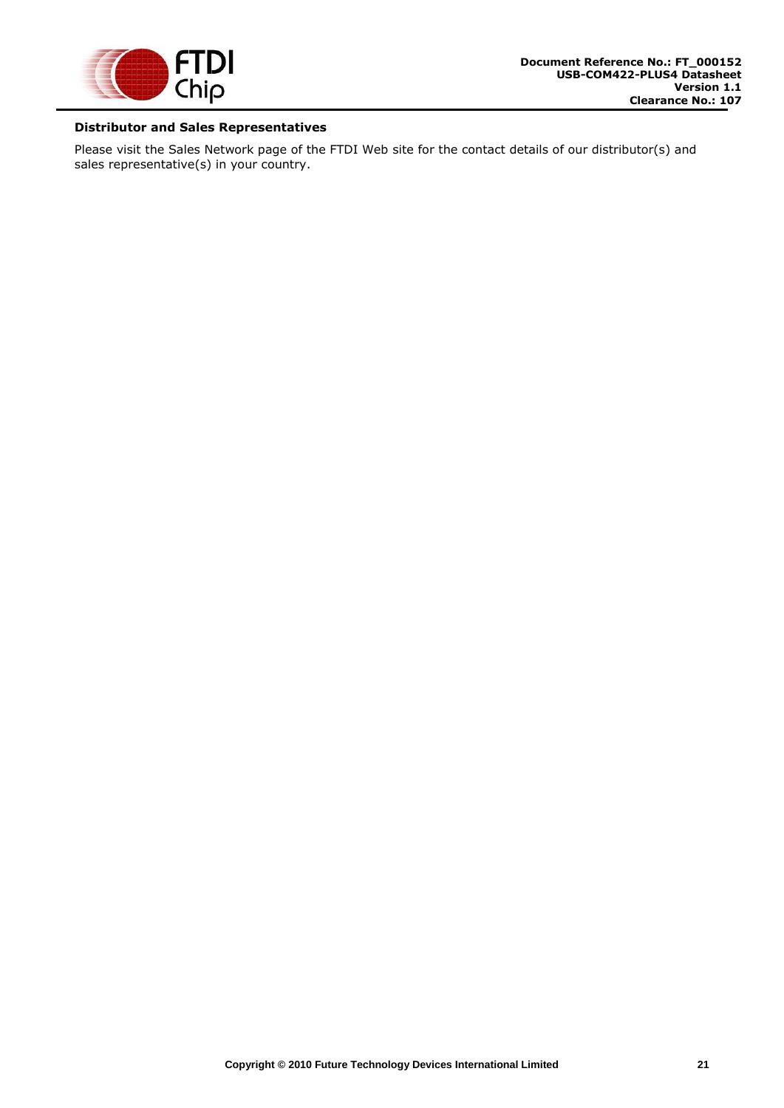

#### **Distributor and Sales Representatives**

Please visit the Sales Network page of the FTDI Web site for the contact details of our distributor(s) and sales representative(s) in your country.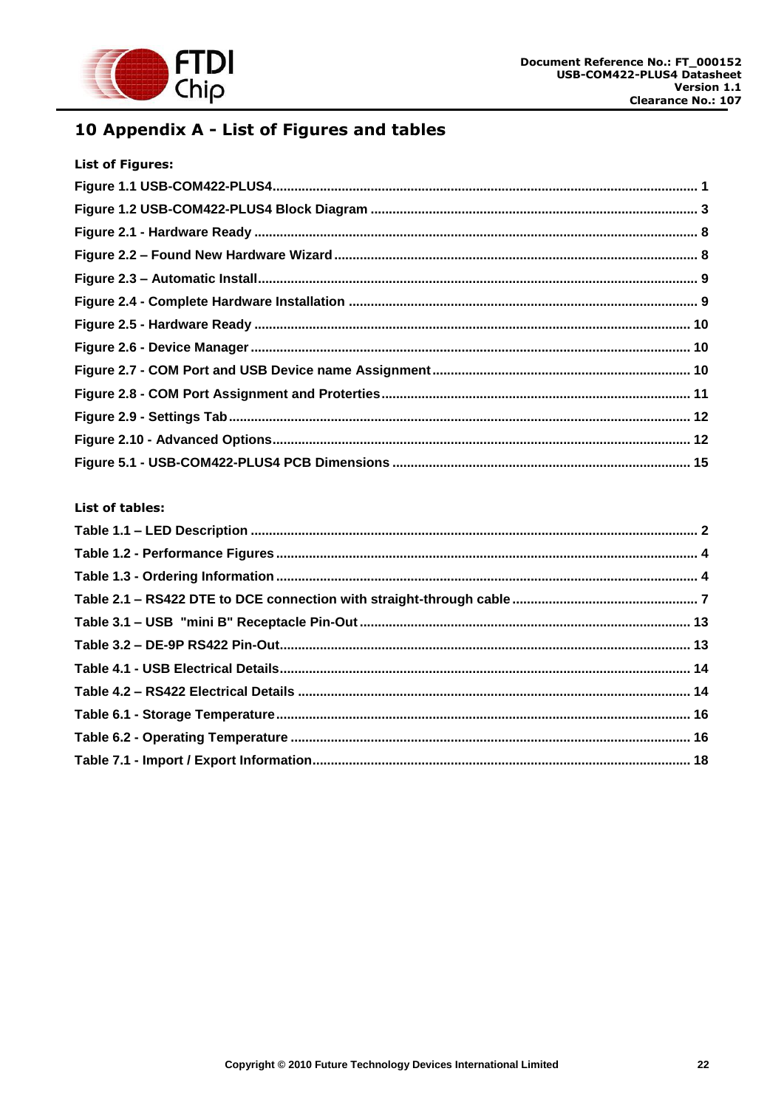

# <span id="page-22-0"></span>10 Appendix A - List of Figures and tables

| <b>List of Figures:</b> |  |
|-------------------------|--|
|                         |  |
|                         |  |
|                         |  |
|                         |  |
|                         |  |
|                         |  |
|                         |  |
|                         |  |
|                         |  |
|                         |  |
|                         |  |
|                         |  |
|                         |  |

#### **List of tables:**